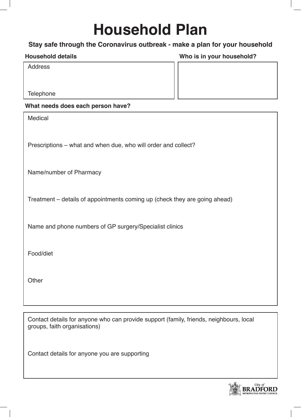# **Household Plan**

## **Stay safe through the Coronavirus outbreak - make a plan for your household**

### **Household details Who is in your household?**

Address

**Telephone** 

#### **What needs does each person have?**

| Medical                                                                    |
|----------------------------------------------------------------------------|
| Prescriptions – what and when due, who will order and collect?             |
| Name/number of Pharmacy                                                    |
| Treatment – details of appointments coming up (check they are going ahead) |
| Name and phone numbers of GP surgery/Specialist clinics                    |
| Food/diet                                                                  |
| Other                                                                      |
|                                                                            |

Contact details for anyone who can provide support (family, friends, neighbours, local groups, faith organisations)

Contact details for anyone you are supporting